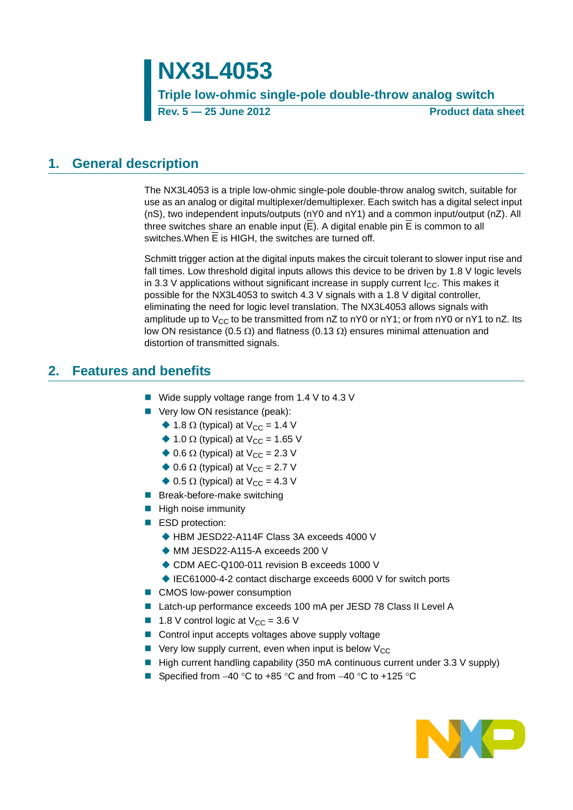# **NX3L4053**

**Triple low-ohmic single-pole double-throw analog switch Rev. 5 — 25 June 2012 Product data sheet**

# <span id="page-0-0"></span>**1. General description**

The NX3L4053 is a triple low-ohmic single-pole double-throw analog switch, suitable for use as an analog or digital multiplexer/demultiplexer. Each switch has a digital select input (nS), two independent inputs/outputs (nY0 and nY1) and a common input/output (nZ). All three switches share an enable input (E). A digital enable pin E is common to all switches. When  $\overline{E}$  is HIGH, the switches are turned off.

Schmitt trigger action at the digital inputs makes the circuit tolerant to slower input rise and fall times. Low threshold digital inputs allows this device to be driven by 1.8 V logic levels in 3.3 V applications without significant increase in supply current  $I_{\rm CC}$ . This makes it possible for the NX3L4053 to switch 4.3 V signals with a 1.8 V digital controller, eliminating the need for logic level translation. The NX3L4053 allows signals with amplitude up to  $V_{CC}$  to be transmitted from nZ to nY0 or nY1; or from nY0 or nY1 to nZ. Its low ON resistance (0.5  $\Omega$ ) and flatness (0.13  $\Omega$ ) ensures minimal attenuation and distortion of transmitted signals.

# <span id="page-0-1"></span>**2. Features and benefits**

- Wide supply voltage range from 1.4 V to 4.3 V
- Very low ON resistance (peak):
	- $\triangle$  1.8  $\Omega$  (typical) at V<sub>CC</sub> = 1.4 V
	- $\triangle$  1.0  $\Omega$  (typical) at V<sub>CC</sub> = 1.65 V
	- $\bullet$  0.6  $\Omega$  (typical) at V<sub>CC</sub> = 2.3 V
	- $\triangle$  0.6  $\Omega$  (typical) at V<sub>CC</sub> = 2.7 V
	- $\triangle$  0.5  $\Omega$  (typical) at V<sub>CC</sub> = 4.3 V
- **Break-before-make switching**
- $\blacksquare$  High noise immunity
- ESD protection:
	- ◆ HBM JESD22-A114F Class 3A exceeds 4000 V
	- ◆ MM JESD22-A115-A exceeds 200 V
	- ◆ CDM AEC-Q100-011 revision B exceeds 1000 V
	- ♦ IEC61000-4-2 contact discharge exceeds 6000 V for switch ports
- CMOS low-power consumption
- Latch-up performance exceeds 100 mA per JESD 78 Class II Level A
- **1.8** V control logic at  $V_{CC} = 3.6$  V
- Control input accepts voltages above supply voltage
- $\blacksquare$  Very low supply current, even when input is below V<sub>CC</sub>
- $\blacksquare$  High current handling capability (350 mA continuous current under 3.3 V supply)
- Specified from  $-40$  °C to  $+85$  °C and from  $-40$  °C to  $+125$  °C

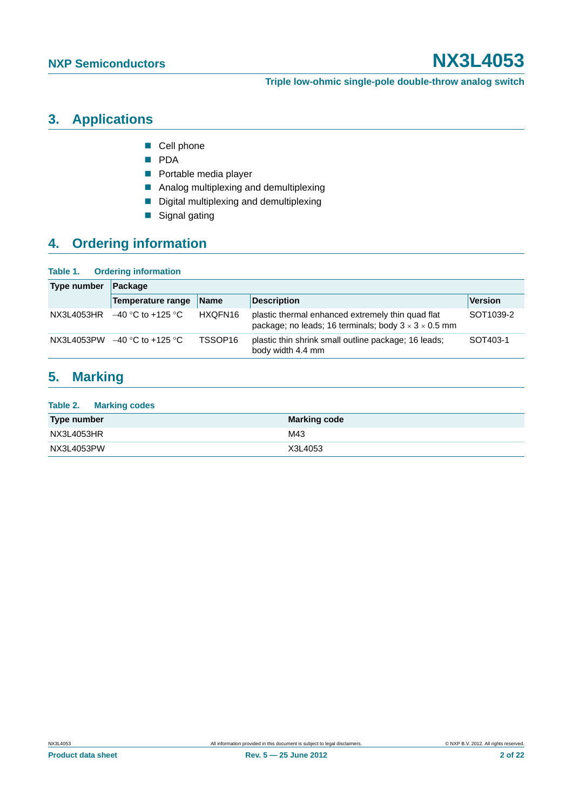# <span id="page-1-0"></span>**3. Applications**

- Cell phone
- **PDA**
- **Portable media player**
- **Analog multiplexing and demultiplexing**
- Digital multiplexing and demultiplexing
- Signal gating

# <span id="page-1-1"></span>**4. Ordering information**

**Table 1. Ordering information**

| Type number | $\vert$ Package   |             |                                                                                                                       |                |
|-------------|-------------------|-------------|-----------------------------------------------------------------------------------------------------------------------|----------------|
|             | Temperature range | <b>Name</b> | <b>Description</b>                                                                                                    | <b>Version</b> |
| NX3L4053HR  | –40 °C to +125 °C | HXQFN16     | plastic thermal enhanced extremely thin quad flat<br>package; no leads; 16 terminals; body $3 \times 3 \times 0.5$ mm | SOT1039-2      |
| NX3L4053PW  | –40 °C to +125 °C | TSSOP16     | plastic thin shrink small outline package; 16 leads;<br>body width 4.4 mm                                             | SOT403-1       |

# <span id="page-1-2"></span>**5. Marking**

| Table 2.<br><b>Marking codes</b> |                     |
|----------------------------------|---------------------|
| Type number                      | <b>Marking code</b> |
| NX3L4053HR                       | M43                 |
| NX3L4053PW                       | X3L4053             |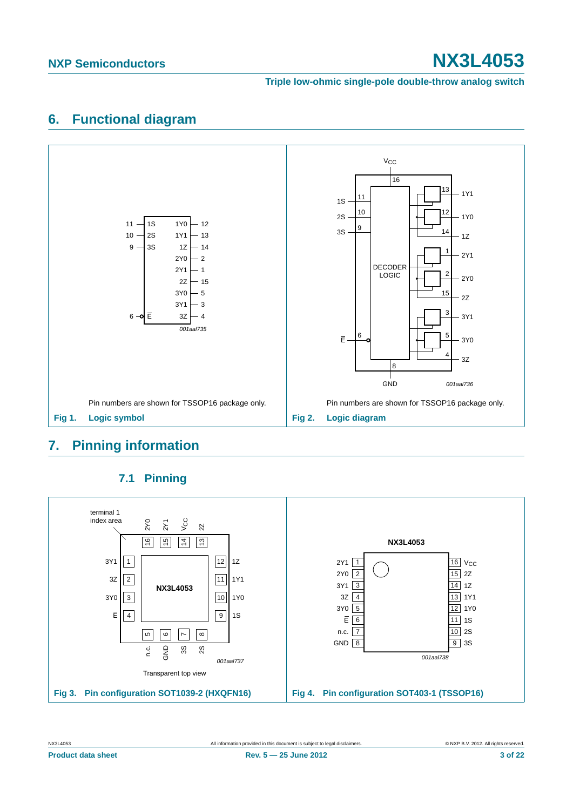**Triple low-ohmic single-pole double-throw analog switch**

# <span id="page-2-0"></span>**6. Functional diagram**



# <span id="page-2-1"></span>**7. Pinning information**

<span id="page-2-2"></span>

## **7.1 Pinning**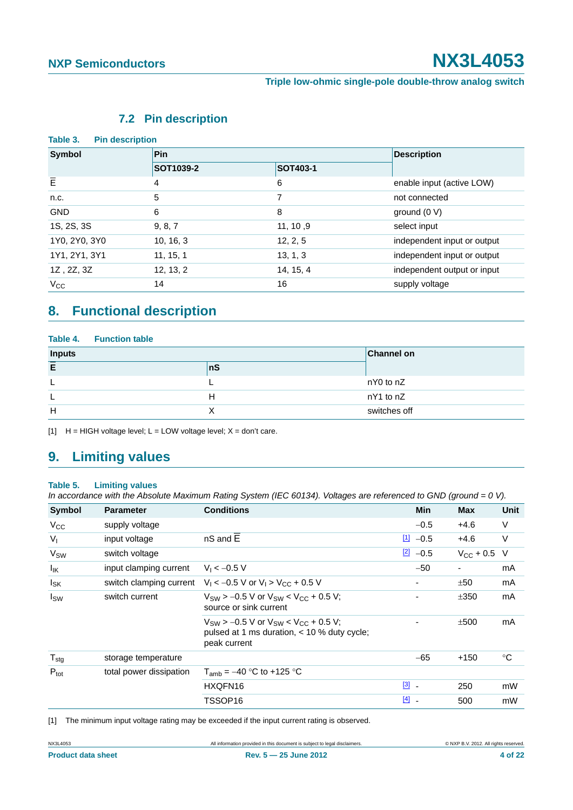### **7.2 Pin description**

<span id="page-3-1"></span>

| Table 3.      | <b>Pin description</b> |           |                             |  |  |  |  |  |  |
|---------------|------------------------|-----------|-----------------------------|--|--|--|--|--|--|
| Symbol        | <b>Pin</b>             |           | <b>Description</b>          |  |  |  |  |  |  |
|               | <b>SOT1039-2</b>       | SOT403-1  |                             |  |  |  |  |  |  |
| Ē             | 4                      | 6         | enable input (active LOW)   |  |  |  |  |  |  |
| n.c.          | 5                      | 7         | not connected               |  |  |  |  |  |  |
| <b>GND</b>    | 6                      | 8         | ground $(0 V)$              |  |  |  |  |  |  |
| 1S, 2S, 3S    | 9, 8, 7                | 11, 10, 9 | select input                |  |  |  |  |  |  |
| 1Y0, 2Y0, 3Y0 | 10, 16, 3              | 12, 2, 5  | independent input or output |  |  |  |  |  |  |
| 1Y1, 2Y1, 3Y1 | 11, 15, 1              | 13, 1, 3  | independent input or output |  |  |  |  |  |  |
| 1Z, 2Z, 3Z    | 12, 13, 2              | 14, 15, 4 | independent output or input |  |  |  |  |  |  |
| $V_{\rm CC}$  | 14                     | 16        | supply voltage              |  |  |  |  |  |  |

# <span id="page-3-2"></span>**8. Functional description**

#### **Table 4. Function table**

| <b>Inputs</b> | <b>Channel on</b> |              |
|---------------|-------------------|--------------|
| E             | nS                |              |
|               |                   | nY0 to nZ    |
|               | н                 | nY1 to nZ    |
| H             |                   | switches off |

 $[1]$  H = HIGH voltage level; L = LOW voltage level; X = don't care.

# <span id="page-3-3"></span>**9. Limiting values**

#### **Table 5. Limiting values**

*In accordance with the Absolute Maximum Rating System (IEC 60134). Voltages are referenced to GND (ground = 0 V).*

| Symbol                | <b>Parameter</b>        | <b>Conditions</b>                                                                                                | <b>Min</b>            | <b>Max</b>               | <b>Unit</b> |
|-----------------------|-------------------------|------------------------------------------------------------------------------------------------------------------|-----------------------|--------------------------|-------------|
| $V_{\rm CC}$          | supply voltage          |                                                                                                                  | $-0.5$                | $+4.6$                   | V           |
| $V_{I}$               | input voltage           | $nS$ and $E$                                                                                                     | $\underline{11} -0.5$ | $+4.6$                   | V           |
| <b>V<sub>SW</sub></b> | switch voltage          |                                                                                                                  | $[2] -0.5$            | $V_{\text{CC}}$ + 0.5    | - V         |
| $I_{IK}$              | input clamping current  | $V_1 < -0.5 V$                                                                                                   | $-50$                 | $\overline{\phantom{a}}$ | mA          |
| $I_{SK}$              |                         | switch clamping current $V_1 < -0.5$ V or $V_1 > V_{CC} + 0.5$ V                                                 |                       | ±50                      | mA          |
| $I_{SW}$              | switch current          | $V_{SW}$ > -0.5 V or $V_{SW}$ < $V_{CC}$ + 0.5 V;<br>source or sink current                                      |                       | ±350                     | mA          |
|                       |                         | $V_{SW}$ > -0.5 V or $V_{SW}$ < $V_{CC}$ + 0.5 V;<br>pulsed at 1 ms duration, < 10 % duty cycle;<br>peak current |                       | ±500                     | mA          |
| $T_{\text{stg}}$      | storage temperature     |                                                                                                                  | $-65$                 | $+150$                   | $^{\circ}C$ |
| $P_{\text{tot}}$      | total power dissipation | $T_{amb} = -40$ °C to +125 °C                                                                                    |                       |                          |             |
|                       |                         | HXQFN16                                                                                                          | $\boxed{3}$ –         | 250                      | mW          |
|                       |                         | TSSOP16                                                                                                          | $[4]$ -               | 500                      | mW          |
|                       |                         |                                                                                                                  |                       |                          |             |

<span id="page-3-0"></span>[1] The minimum input voltage rating may be exceeded if the input current rating is observed.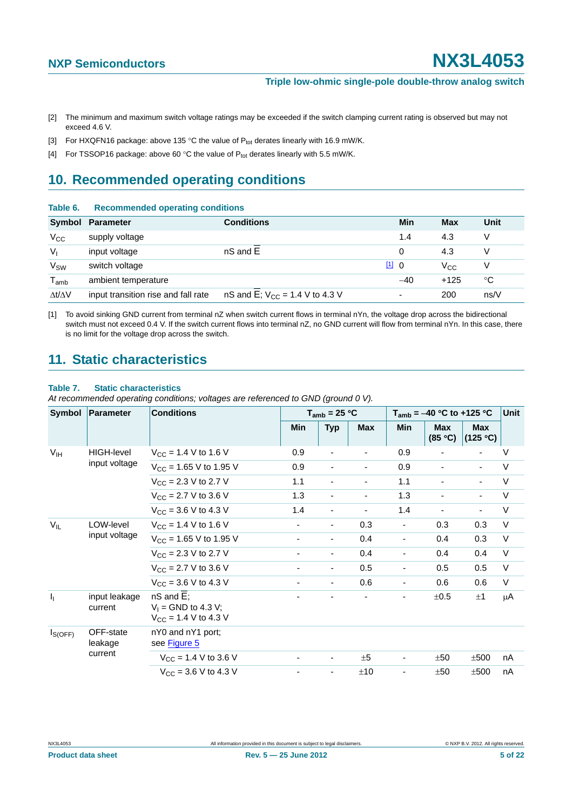- <span id="page-4-0"></span>[2] The minimum and maximum switch voltage ratings may be exceeded if the switch clamping current rating is observed but may not exceed 4.6 V.
- <span id="page-4-1"></span>[3] For HXQFN16 package: above 135 °C the value of  $P_{tot}$  derates linearly with 16.9 mW/K.
- <span id="page-4-2"></span>[4] For TSSOP16 package: above 60 °C the value of  $P_{tot}$  derates linearly with 5.5 mW/K.

# <span id="page-4-4"></span>**10. Recommended operating conditions**

#### **Table 6. Recommended operating conditions**

|                     | Symbol Parameter                    | <b>Conditions</b>                   | Min                      | Max          | Unit |
|---------------------|-------------------------------------|-------------------------------------|--------------------------|--------------|------|
| $V_{\rm CC}$        | supply voltage                      |                                     | 1.4                      | 4.3          | V    |
| $V_{1}$             | input voltage                       | $nS$ and $E$                        | 0                        | 4.3          | V    |
| V <sub>SW</sub>     | switch voltage                      |                                     | $11$ 0                   | $V_{\rm CC}$ | V    |
| $T_{\mathsf{amb}}$  | ambient temperature                 |                                     | $-40$                    | $+125$       | ℃    |
| $\Delta t/\Delta V$ | input transition rise and fall rate | nS and E; $V_{CC}$ = 1.4 V to 4.3 V | $\overline{\phantom{0}}$ | 200          | ns/V |

<span id="page-4-3"></span>[1] To avoid sinking GND current from terminal nZ when switch current flows in terminal nYn, the voltage drop across the bidirectional switch must not exceed 0.4 V. If the switch current flows into terminal nZ, no GND current will flow from terminal nYn. In this case, there is no limit for the voltage drop across the switch.

# <span id="page-4-5"></span>**11. Static characteristics**

#### **Table 7. Static characteristics**

*At recommended operating conditions; voltages are referenced to GND (ground 0 V).*

| Symbol<br><b>Parameter</b> |                          | <b>Conditions</b>                                                              |                | $T_{amb}$ = 25 °C        |            |                | $T_{amb}$ = -40 °C to +125 °C |                          | <b>Unit</b> |
|----------------------------|--------------------------|--------------------------------------------------------------------------------|----------------|--------------------------|------------|----------------|-------------------------------|--------------------------|-------------|
|                            |                          |                                                                                | <b>Min</b>     | <b>Typ</b>               | <b>Max</b> | <b>Min</b>     | <b>Max</b><br>(85 °C)         | <b>Max</b><br>(125 °C)   |             |
| V <sub>IH</sub>            | <b>HIGH-level</b>        | $V_{CC}$ = 1.4 V to 1.6 V                                                      | 0.9            | ٠                        |            | 0.9            |                               |                          | $\vee$      |
|                            | input voltage            | $V_{CC}$ = 1.65 V to 1.95 V                                                    | 0.9            | ٠                        |            | 0.9            |                               | ٠                        | $\vee$      |
|                            |                          | $V_{CC}$ = 2.3 V to 2.7 V                                                      | 1.1            | ä,                       |            | 1.1            |                               | ٠                        | $\vee$      |
|                            |                          | $V_{\text{CC}} = 2.7 \text{ V}$ to 3.6 V                                       | 1.3            | $\overline{\phantom{a}}$ |            | 1.3            | $\blacksquare$                | $\overline{\phantom{a}}$ | $\vee$      |
|                            |                          | $V_{CC}$ = 3.6 V to 4.3 V                                                      | 1.4            | $\overline{\phantom{a}}$ |            | 1.4            |                               | $\overline{\phantom{a}}$ | $\vee$      |
| $V_{IL}$<br>LOW-level      |                          | $V_{CC}$ = 1.4 V to 1.6 V                                                      | $\blacksquare$ | $\blacksquare$           | 0.3        | $\blacksquare$ | 0.3                           | 0.3                      | $\vee$      |
|                            | input voltage            | $V_{CC}$ = 1.65 V to 1.95 V                                                    | ٠              | $\overline{\phantom{a}}$ | 0.4        | ٠              | 0.4                           | 0.3                      | $\vee$      |
|                            |                          | $V_{CC}$ = 2.3 V to 2.7 V                                                      | ٠              | $\blacksquare$           | 0.4        |                | 0.4                           | 0.4                      | $\vee$      |
|                            |                          | $V_{CC}$ = 2.7 V to 3.6 V                                                      | ٠              | $\overline{\phantom{a}}$ | 0.5        |                | 0.5                           | 0.5                      | $\vee$      |
|                            |                          | $V_{CC}$ = 3.6 V to 4.3 V                                                      | ٠              | $\blacksquare$           | 0.6        |                | 0.6                           | 0.6                      | V           |
| $I_1$                      | input leakage<br>current | nS and E;<br>$V_1$ = GND to 4.3 V;<br>$V_{\text{CC}} = 1.4 \text{ V}$ to 4.3 V |                |                          |            | ٠              | ±0.5                          | ±1                       | μA          |
| $I_{S(OFF)}$               | OFF-state<br>leakage     | nY0 and nY1 port;<br>see Figure 5                                              |                |                          |            |                |                               |                          |             |
|                            | current                  | $V_{CC}$ = 1.4 V to 3.6 V                                                      | -              | -                        | ±5         |                | ±50                           | ±500                     | nA          |
|                            |                          | $V_{CC}$ = 3.6 V to 4.3 V                                                      |                | ٠                        | ±10        |                | ±50                           | ±500                     | nA          |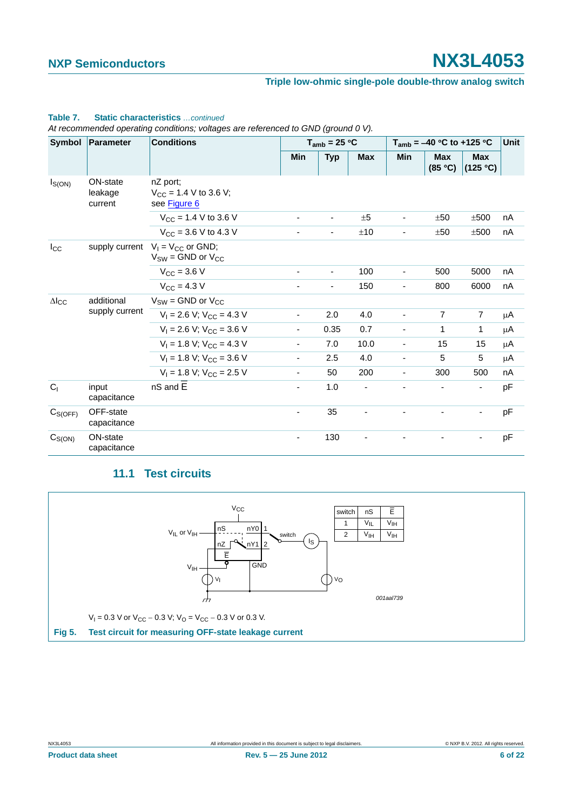#### **Triple low-ohmic single-pole double-throw analog switch**

### **Table 7. Static characteristics** *…continued*

*At recommended operating conditions; voltages are referenced to GND (ground 0 V).*

| <b>Symbol</b><br>Parameter |                                | <b>Conditions</b>                                                   |                          | $T_{amb}$ = 25 °C        |                          |                          | $T_{amb}$ = -40 °C to +125 °C |                          | Unit |
|----------------------------|--------------------------------|---------------------------------------------------------------------|--------------------------|--------------------------|--------------------------|--------------------------|-------------------------------|--------------------------|------|
|                            |                                |                                                                     | <b>Min</b>               | <b>Typ</b>               | <b>Max</b>               | Min                      | <b>Max</b><br>(85 °C)         | <b>Max</b><br>(125 °C)   |      |
| $I_{S(ON)}$                | ON-state<br>leakage<br>current | nZ port:<br>$V_{CC}$ = 1.4 V to 3.6 V;<br>see Figure 6              |                          |                          |                          |                          |                               |                          |      |
|                            |                                | $V_{CC}$ = 1.4 V to 3.6 V                                           |                          |                          | ±5                       | ٠                        | ±50                           | ±500                     | nA   |
|                            |                                | $V_{CC}$ = 3.6 V to 4.3 V                                           |                          |                          | ±10                      |                          | ±50                           | ±500                     | nA   |
| $I_{\rm CC}$               |                                | supply current $V_1 = V_{CC}$ or GND;<br>$V_{SW}$ = GND or $V_{CC}$ |                          |                          |                          |                          |                               |                          |      |
|                            | $V_{CC}$ = 3.6 V               | $\overline{\phantom{a}}$                                            | $\overline{\phantom{a}}$ | 100                      | $\overline{\phantom{a}}$ | 500                      | 5000                          | nA                       |      |
|                            |                                | $V_{CC} = 4.3 V$                                                    |                          | $\overline{\phantom{m}}$ | 150                      | $\overline{\phantom{0}}$ | 800                           | 6000                     | nA   |
| $\Delta$ <sub>cc</sub>     | additional                     | $V_{SW} =$ GND or $V_{CC}$                                          |                          |                          |                          |                          |                               |                          |      |
|                            | supply current                 | $V_1 = 2.6$ V; $V_{CC} = 4.3$ V                                     | $\overline{\phantom{a}}$ | 2.0                      | 4.0                      | $\overline{\phantom{a}}$ | $\overline{7}$                | 7                        | μA   |
|                            |                                | $V_1 = 2.6$ V; $V_{CC} = 3.6$ V                                     | $\blacksquare$           | 0.35                     | 0.7                      | $\blacksquare$           | 1                             | 1                        | μA   |
|                            |                                | $V_1 = 1.8 V$ ; $V_{CC} = 4.3 V$                                    | $\overline{\phantom{a}}$ | 7.0                      | 10.0                     | $\overline{\phantom{a}}$ | 15                            | 15                       | μA   |
|                            |                                | $V_1 = 1.8 V$ ; $V_{CC} = 3.6 V$                                    | $\overline{\phantom{a}}$ | 2.5                      | 4.0                      | $\overline{\phantom{0}}$ | 5                             | 5                        | μA   |
|                            |                                | $V_1 = 1.8$ V; $V_{CC} = 2.5$ V                                     | $\overline{\phantom{a}}$ | 50                       | 200                      | $\overline{\phantom{0}}$ | 300                           | 500                      | nA   |
| C <sub>1</sub>             | input<br>capacitance           | nS and E                                                            | ۰                        | 1.0                      |                          |                          |                               | $\overline{\phantom{a}}$ | pF   |
| $C_{S(OFF)}$               | OFF-state<br>capacitance       |                                                                     | $\overline{\phantom{0}}$ | 35                       |                          |                          |                               | $\overline{\phantom{a}}$ | pF   |
| $C_{S(ON)}$                | ON-state<br>capacitance        |                                                                     | ٠                        | 130                      |                          |                          |                               |                          | pF   |

## **11.1 Test circuits**

<span id="page-5-1"></span><span id="page-5-0"></span>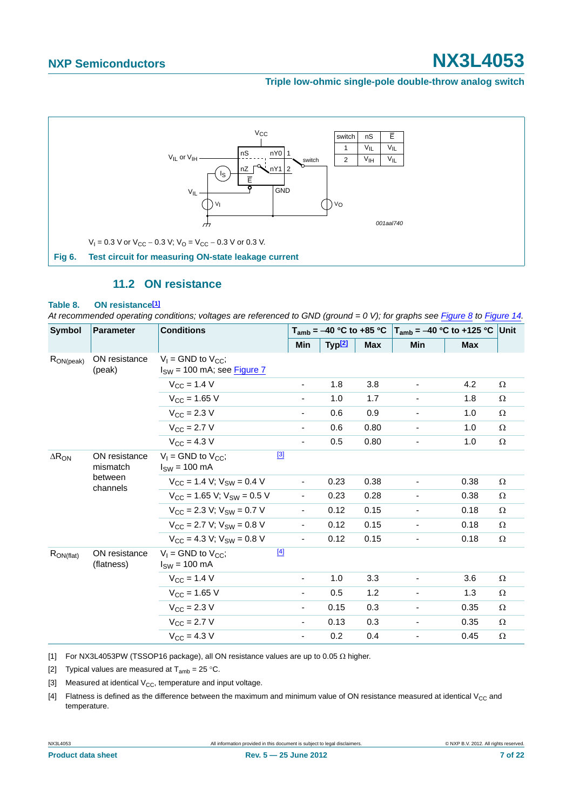#### **Triple low-ohmic single-pole double-throw analog switch**



### **11.2 ON resistance**

#### <span id="page-6-5"></span><span id="page-6-0"></span>**Table 8. ON resistanc[e\[1\]](#page-6-1)**

*At recommended operating conditions; voltages are referenced to GND (ground = 0 V); for graphs see [Figure 8](#page-7-0) to [Figure 14.](#page-9-0)*

| <b>Symbol</b>   | <b>Parameter</b>            | <b>Conditions</b>                                               |                          | $T_{amb}$ = -40 °C to +85 °C |            |                          | $T_{amb}$ = –40 °C to +125 °C Unit                                   |          |
|-----------------|-----------------------------|-----------------------------------------------------------------|--------------------------|------------------------------|------------|--------------------------|----------------------------------------------------------------------|----------|
|                 |                             |                                                                 | Min                      | Typ <sup>[2]</sup>           | <b>Max</b> | Min                      | <b>Max</b>                                                           |          |
| $R_{ON(peak)}$  | ON resistance<br>(peak)     | $V_1$ = GND to $V_{CC}$ ;<br>$I_{SW}$ = 100 mA; see Figure 7    |                          |                              |            |                          |                                                                      |          |
|                 |                             | $V_{CC}$ = 1.4 V                                                | -                        | 1.8                          | 3.8        | $\overline{\phantom{a}}$ | 4.2                                                                  | $\Omega$ |
|                 |                             | $V_{CC}$ = 1.65 V                                               | $\overline{\phantom{0}}$ | 1.0                          | 1.7        |                          | 1.8                                                                  | Ω        |
|                 |                             | $V_{CC}$ = 2.3 V                                                | $\overline{\phantom{0}}$ | 0.6                          | 0.9        | -                        | 1.0                                                                  | $\Omega$ |
|                 |                             | $V_{\text{CC}} = 2.7 V$                                         | $\blacksquare$           | 0.6                          | 0.80       | $\overline{\phantom{a}}$ | 1.0                                                                  | Ω        |
|                 |                             | $V_{\text{CC}} = 4.3 V$                                         | ٠                        | 0.5                          | 0.80       |                          | 1.0                                                                  | $\Omega$ |
| $\Delta R_{ON}$ | ON resistance<br>mismatch   | $[3]$<br>$V_1$ = GND to $V_{CC}$ ;<br>$I_{SW}$ = 100 mA         |                          |                              |            |                          |                                                                      |          |
|                 | between<br>channels         | $V_{CC}$ = 1.4 V; $V_{SW}$ = 0.4 V                              | $\overline{\phantom{0}}$ | 0.23                         | 0.38       |                          | 0.38<br>Ω<br>0.38<br>Ω<br>0.18<br>$\Omega$<br>0.18<br>Ω<br>0.18<br>Ω |          |
|                 |                             | $V_{CC}$ = 1.65 V; $V_{SW}$ = 0.5 V                             | $\overline{\phantom{a}}$ | 0.23                         | 0.28       | -                        |                                                                      |          |
|                 |                             | $V_{CC}$ = 2.3 V; $V_{SW}$ = 0.7 V                              | ÷,                       | 0.12                         | 0.15       | ÷,                       |                                                                      |          |
|                 |                             | $V_{CC}$ = 2.7 V; $V_{SW}$ = 0.8 V                              | ٠                        | 0.12                         | 0.15       | $\overline{\phantom{0}}$ |                                                                      |          |
|                 |                             | $V_{CC}$ = 4.3 V; $V_{SW}$ = 0.8 V                              | $\overline{\phantom{a}}$ | 0.12                         | 0.15       | $\overline{\phantom{a}}$ |                                                                      |          |
| $R_{ON(flat)}$  | ON resistance<br>(flatness) | $[4]$<br>$V_1$ = GND to $V_{CC}$ ;<br>$I_{SW} = 100 \text{ mA}$ |                          |                              |            |                          |                                                                      |          |
|                 |                             | $V_{\rm CC} = 1.4 V$                                            | $\overline{\phantom{0}}$ | 1.0                          | 3.3        |                          | 3.6                                                                  | $\Omega$ |
|                 |                             | $V_{CC}$ = 1.65 V                                               | -                        | 0.5                          | 1.2        |                          | 1.3                                                                  | Ω        |
|                 |                             | $V_{CC}$ = 2.3 V                                                | -                        | 0.15                         | 0.3        | $\overline{\phantom{a}}$ | 0.35                                                                 | $\Omega$ |
|                 |                             | $V_{\rm CC} = 2.7 V$                                            | $\overline{\phantom{0}}$ | 0.13                         | 0.3        | $\overline{\phantom{0}}$ | 0.35                                                                 | $\Omega$ |
|                 |                             | $V_{\text{CC}} = 4.3 V$                                         | -                        | 0.2                          | 0.4        | $\overline{\phantom{0}}$ | 0.45                                                                 | Ω        |

<span id="page-6-1"></span>[1] For NX3L4053PW (TSSOP16 package), all ON resistance values are up to 0.05  $\Omega$  higher.

<span id="page-6-2"></span>[2] Typical values are measured at  $T_{amb} = 25 \degree C$ .

<span id="page-6-3"></span>[3] Measured at identical  $V_{CC}$ , temperature and input voltage.

<span id="page-6-4"></span>[4] Flatness is defined as the difference between the maximum and minimum value of ON resistance measured at identical V<sub>CC</sub> and temperature.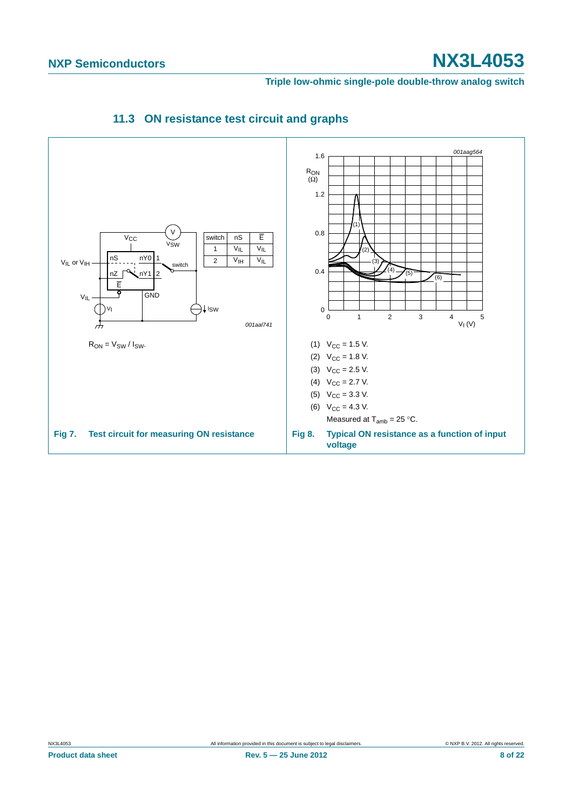<span id="page-7-0"></span>**Triple low-ohmic single-pole double-throw analog switch**

<span id="page-7-2"></span><span id="page-7-1"></span>

## **11.3 ON resistance test circuit and graphs**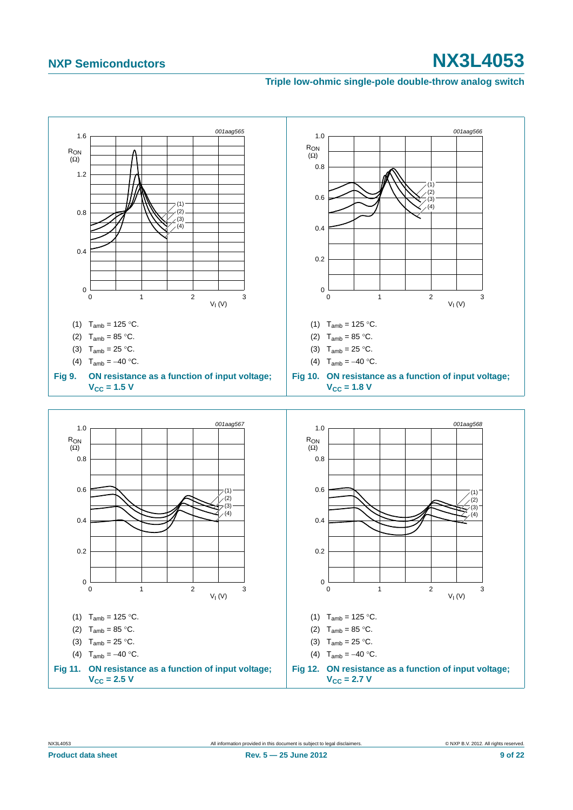#### **Triple low-ohmic single-pole double-throw analog switch**

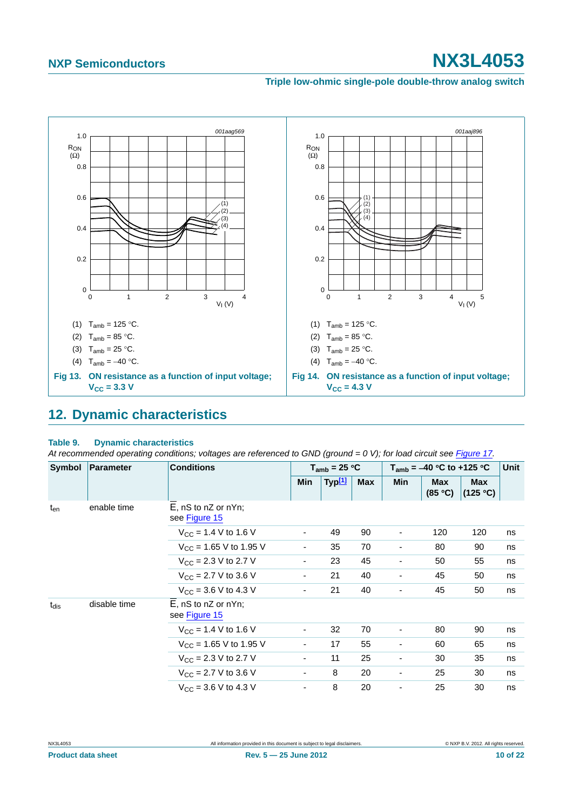### **Triple low-ohmic single-pole double-throw analog switch**



# <span id="page-9-1"></span><span id="page-9-0"></span>**12. Dynamic characteristics**

#### **Table 9. Dynamic characteristics**

At recommended operating conditions; voltages are referenced to GND (ground = 0 V); for load circuit see [Figure 17.](#page-11-0)

| Symbol    | <b>Parameter</b> | <b>Conditions</b>                        |                          | $T_{amb}$ = 25 °C  |            | $T_{amb}$ = -40 °C to +125 °C |                       |                        | Unit |
|-----------|------------------|------------------------------------------|--------------------------|--------------------|------------|-------------------------------|-----------------------|------------------------|------|
|           |                  |                                          | Min                      | Typ <sup>[1]</sup> | <b>Max</b> | Min                           | <b>Max</b><br>(85 °C) | <b>Max</b><br>(125 °C) |      |
| $t_{en}$  | enable time      | $E$ , nS to nZ or nYn;<br>see Figure 15  |                          |                    |            |                               |                       |                        |      |
|           |                  | $V_{CC}$ = 1.4 V to 1.6 V                | $\overline{\phantom{a}}$ | 49                 | 90         | ٠                             | 120                   | 120                    | ns   |
|           |                  | $V_{CC}$ = 1.65 V to 1.95 V              | $\overline{\phantom{a}}$ | 35                 | 70         | $\overline{\phantom{a}}$      | 80                    | 90                     | ns   |
|           |                  | $V_{\text{CC}} = 2.3 \text{ V}$ to 2.7 V | $\overline{\phantom{a}}$ | 23                 | 45         | ٠                             | 50                    | 55                     | ns   |
|           |                  | $V_{CC}$ = 2.7 V to 3.6 V                | ۰                        | 21                 | 40         | ٠                             | 45                    | 50                     | ns   |
|           |                  | $V_{CC}$ = 3.6 V to 4.3 V                | $\overline{\phantom{a}}$ | 21                 | 40         |                               | 45                    | 50                     | ns   |
| $t_{dis}$ | disable time     | E, nS to nZ or nYn;<br>see Figure 15     |                          |                    |            |                               |                       |                        |      |
|           |                  | $V_{CC}$ = 1.4 V to 1.6 V                | $\overline{\phantom{a}}$ | 32                 | 70         | ٠                             | 80                    | 90                     | ns   |
|           |                  | $V_{CC}$ = 1.65 V to 1.95 V              | $\overline{\phantom{a}}$ | 17                 | 55         | $\overline{\phantom{a}}$      | 60                    | 65                     | ns   |
|           |                  | $V_{CC}$ = 2.3 V to 2.7 V                | ۰                        | 11                 | 25         | ٠                             | 30                    | 35                     | ns   |
|           |                  | $V_{\text{CC}} = 2.7 \text{ V}$ to 3.6 V | ۰                        | 8                  | 20         | ٠                             | 25                    | 30                     | ns   |
|           |                  | $V_{\text{CC}} = 3.6 \text{ V}$ to 4.3 V | ۰                        | 8                  | 20         |                               | 25                    | 30                     | ns   |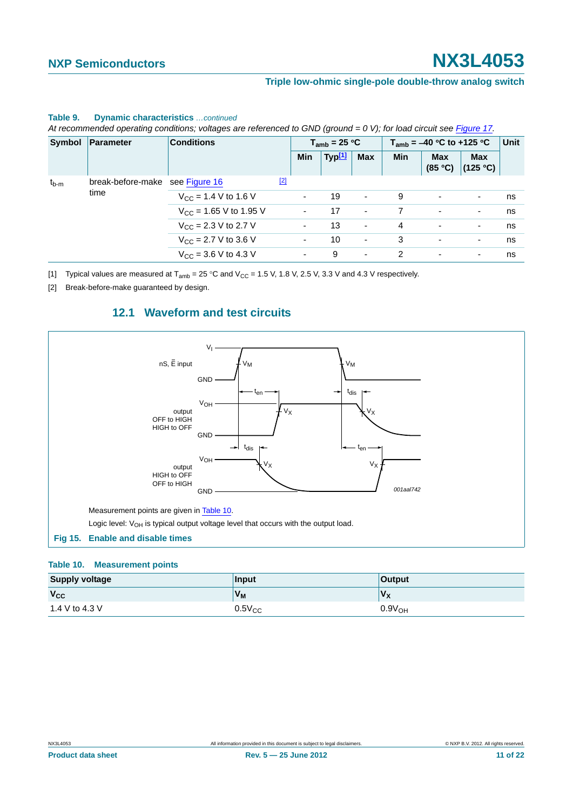|           | Symbol Parameter                | <b>Conditions</b>                        |             |            | $T_{amb}$ = 25 °C  |            |                          |                          | Unit<br>$T_{amb}$ = -40 °C to +125 °C |    |
|-----------|---------------------------------|------------------------------------------|-------------|------------|--------------------|------------|--------------------------|--------------------------|---------------------------------------|----|
|           |                                 |                                          |             | <b>Min</b> | Typ <sup>[1]</sup> | <b>Max</b> | <b>Min</b>               | <b>Max</b><br>(85 °C)    | <b>Max</b><br>(125 °C)                |    |
| $t_{b-m}$ | break-before-make see Figure 16 |                                          | $\boxed{2}$ |            |                    |            |                          |                          |                                       |    |
| time      | $V_{CC}$ = 1.4 V to 1.6 V       |                                          | $\sim$      | 19         | $\sim$             | 9          | $\overline{\phantom{a}}$ | $\overline{\phantom{a}}$ | ns                                    |    |
|           |                                 | $V_{CC}$ = 1.65 V to 1.95 V              |             | $\sim$     | 17                 | ٠          |                          | $\overline{\phantom{a}}$ | $\overline{\phantom{a}}$              | ns |
|           |                                 | $V_{\rm CC}$ = 2.3 V to 2.7 V            |             | ۰.         | 13                 | ۰.         | 4                        | ۰                        | $\overline{\phantom{a}}$              | ns |
|           |                                 | $V_{\text{CC}} = 2.7 \text{ V}$ to 3.6 V |             | ۰.         | 10                 | ۰.         | 3                        | $\sim$                   | $\overline{\phantom{a}}$              | ns |
|           |                                 | $V_{CC}$ = 3.6 V to 4.3 V                |             | ۰.         | 9                  | ۰          | $\overline{2}$           | ۰                        | ۰                                     | ns |

#### **Table 9. Dynamic characteristics** *…continued*

*At recommended operating conditions; voltages are referenced to GND (ground = 0 V); for load circuit see Figure 17.*

<span id="page-10-0"></span>[1] Typical values are measured at  $T_{amb} = 25 \degree C$  and  $V_{CC} = 1.5$  V, 1.8 V, 2.5 V, 3.3 V and 4.3 V respectively.

<span id="page-10-4"></span><span id="page-10-2"></span>[2] Break-before-make guaranteed by design.

## **12.1 Waveform and test circuits**



#### <span id="page-10-3"></span><span id="page-10-1"></span>**Table 10. Measurement points**

| <b>Supply voltage</b> | Input       | <b>Output</b>      |
|-----------------------|-------------|--------------------|
| $V_{\rm CC}$          | $V_{M}$     | $V_{\mathsf{X}}$   |
| 1.4 V to 4.3 V        | $0.5V_{CC}$ | 0.9V <sub>OH</sub> |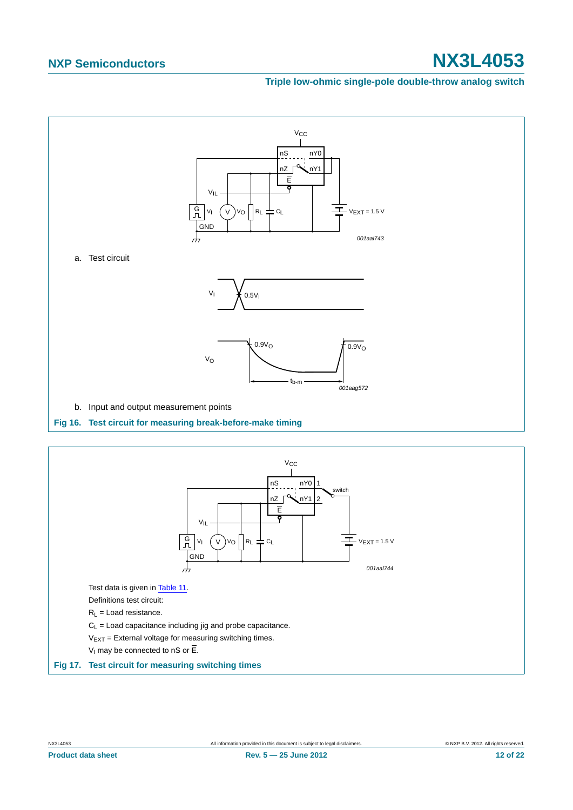#### **Triple low-ohmic single-pole double-throw analog switch**



<span id="page-11-1"></span>

<span id="page-11-0"></span>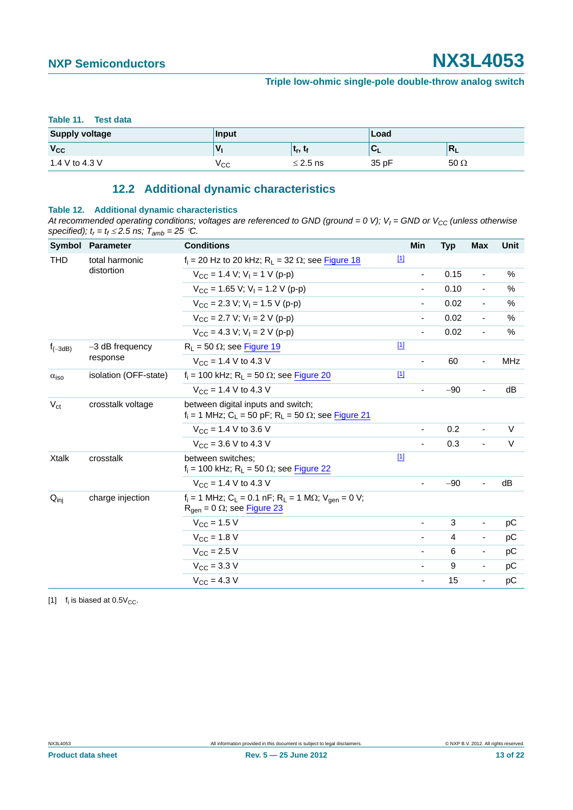#### <span id="page-12-0"></span>**Table 11. Test data**

| <b>Supply voltage</b> | <b>Input</b> |                              | Load  |              |
|-----------------------|--------------|------------------------------|-------|--------------|
| V <sub>cc</sub>       | v            | $\mathbf{t}_r, \mathbf{t}_r$ | ∽∟    | $\mathbf{L}$ |
| 1.4 V to 4.3 V        | ∨сс          | $\leq$ 2.5 ns                | 35 pF | $50 \Omega$  |

## **12.2 Additional dynamic characteristics**

### <span id="page-12-2"></span>**Table 12. Additional dynamic characteristics**

At recommended operating conditions; voltages are referenced to GND (ground = 0 V);  $V_1$  = GND or  $V_{CC}$  (unless otherwise specified);  $t_r = t_f \leq 2.5$  ns;  $T_{amb} = 25$  °C.

| <b>Symbol</b>           | <b>Parameter</b>              | <b>Conditions</b>                                                                                                         | Min                      | <b>Typ</b> | Max                      | Unit       |
|-------------------------|-------------------------------|---------------------------------------------------------------------------------------------------------------------------|--------------------------|------------|--------------------------|------------|
| <b>THD</b>              | total harmonic<br>distortion  | $f_i = 20$ Hz to 20 kHz; $R_i = 32 \Omega$ ; see Figure 18                                                                | $\boxed{1}$              |            |                          |            |
|                         |                               | $V_{CC}$ = 1.4 V; V <sub>1</sub> = 1 V (p-p)                                                                              |                          | 0.15       | $\overline{\phantom{a}}$ | %          |
|                         |                               | $V_{CC}$ = 1.65 V; V <sub>1</sub> = 1.2 V (p-p)                                                                           |                          | 0.10       | $\blacksquare$           | %          |
|                         |                               | $V_{\text{CC}}$ = 2.3 V; V <sub>I</sub> = 1.5 V (p-p)                                                                     |                          | 0.02       | $\overline{\phantom{a}}$ | $\%$       |
|                         |                               | $V_{CC}$ = 2.7 V; V <sub>I</sub> = 2 V (p-p)                                                                              |                          | 0.02       | $\overline{\phantom{a}}$ | $\%$       |
|                         |                               | $V_{CC} = 4.3 V$ ; $V_1 = 2 V (p-p)$                                                                                      |                          | 0.02       | $\overline{\phantom{a}}$ | $\%$       |
| $f_{(-3dB)}$            | $-3$ dB frequency<br>response | $R_L$ = 50 $\Omega$ ; see Figure 19                                                                                       | $[1]$                    |            |                          |            |
|                         |                               | $V_{CC}$ = 1.4 V to 4.3 V                                                                                                 |                          | 60         | $\overline{\phantom{a}}$ | <b>MHz</b> |
| $\alpha$ <sub>iso</sub> | isolation (OFF-state)         | $f_i = 100$ kHz; R <sub>L</sub> = 50 $\Omega$ ; see Figure 20                                                             | $\boxed{1}$              |            |                          |            |
|                         |                               | $V_{\text{CC}} = 1.4 \text{ V}$ to 4.3 V                                                                                  |                          | $-90$      | $\blacksquare$           | dB         |
| $V_{\rm ct}$            | crosstalk voltage             | between digital inputs and switch;<br>$f_i = 1$ MHz; C <sub>L</sub> = 50 pF; R <sub>L</sub> = 50 $\Omega$ ; see Figure 21 |                          |            |                          |            |
|                         |                               | $V_{CC}$ = 1.4 V to 3.6 V                                                                                                 |                          | 0.2        | $\overline{\phantom{a}}$ | $\vee$     |
|                         |                               | $V_{CC}$ = 3.6 V to 4.3 V                                                                                                 |                          | 0.3        | $\blacksquare$           | $\vee$     |
| <b>Xtalk</b>            | crosstalk                     | between switches:<br>$f_i$ = 100 kHz; R <sub>L</sub> = 50 $\Omega$ ; see Figure 22                                        | $\boxed{1}$              |            |                          |            |
|                         |                               | $V_{CC}$ = 1.4 V to 4.3 V                                                                                                 |                          | $-90$      | $\overline{\phantom{a}}$ | dB         |
| $Q_{\text{inj}}$        | charge injection              | $f_i = 1$ MHz; $C_L = 0.1$ nF; $R_L = 1$ M $\Omega$ ; $V_{gen} = 0$ V;<br>$Rgen = 0 \Omega$ ; see Figure 23               |                          |            |                          |            |
|                         |                               | $V_{\rm CC} = 1.5 V$                                                                                                      |                          | 3          | $\overline{\phantom{a}}$ | рC         |
|                         |                               | $V_{\text{CC}} = 1.8 \text{ V}$                                                                                           |                          | 4          | $\overline{\phantom{a}}$ | рC         |
|                         |                               | $V_{\text{CC}} = 2.5 V$                                                                                                   | $\overline{\phantom{a}}$ | 6          | $\overline{\phantom{a}}$ | рC         |
|                         |                               | $V_{\text{CC}}$ = 3.3 V                                                                                                   | $\overline{\phantom{a}}$ | 9          | $\overline{\phantom{a}}$ | рC         |
|                         |                               | $V_{\rm CC} = 4.3 V$                                                                                                      | $\blacksquare$           | 15         | $\overline{\phantom{a}}$ | рC         |

<span id="page-12-1"></span>[1]  $f_i$  is biased at 0.5 $V_{CC}$ .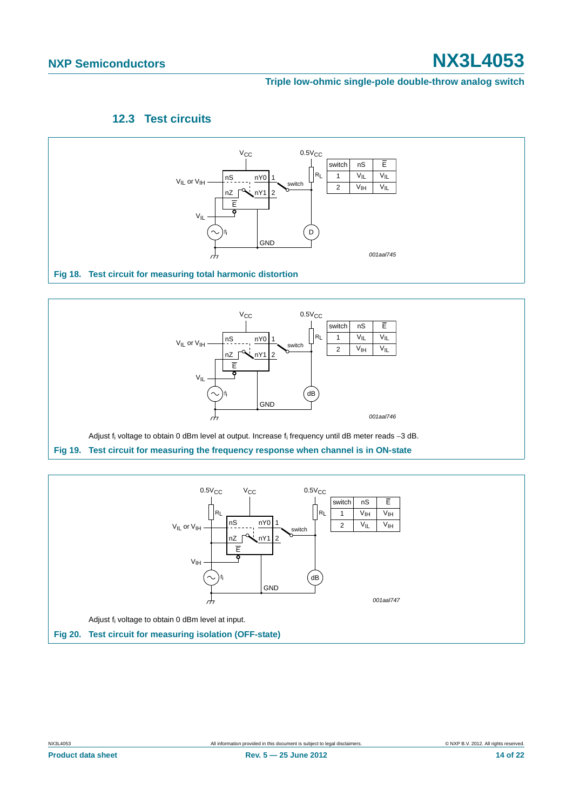### **Triple low-ohmic single-pole double-throw analog switch**

### **12.3 Test circuits**

<span id="page-13-3"></span>

## <span id="page-13-0"></span>**Fig 18. Test circuit for measuring total harmonic distortion**



<span id="page-13-2"></span><span id="page-13-1"></span>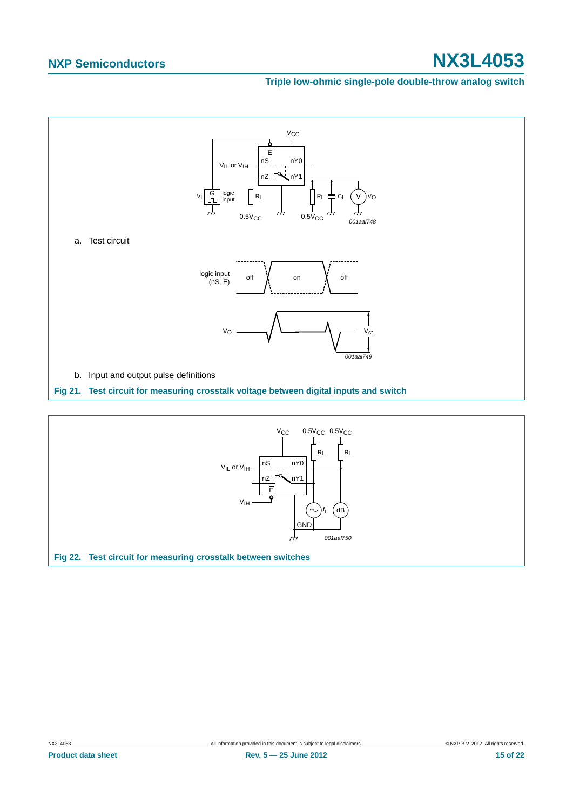#### **Triple low-ohmic single-pole double-throw analog switch**



<span id="page-14-1"></span><span id="page-14-0"></span>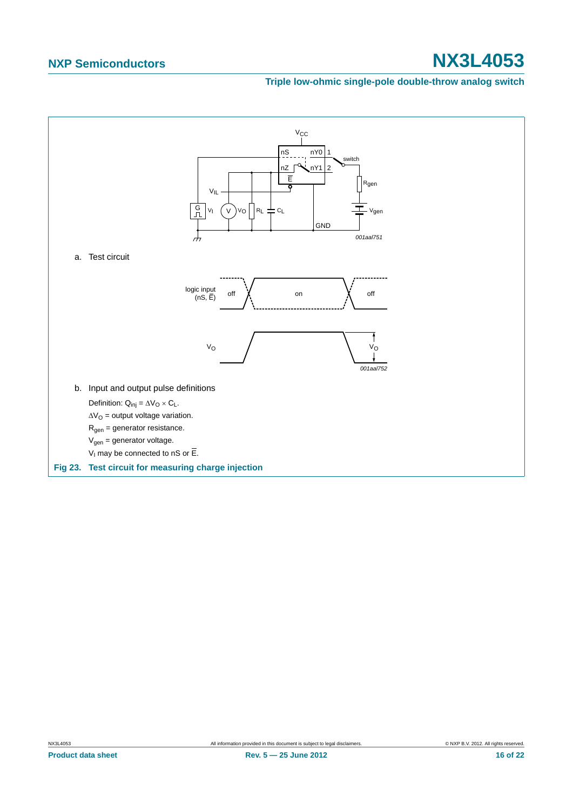#### **Triple low-ohmic single-pole double-throw analog switch**

<span id="page-15-0"></span>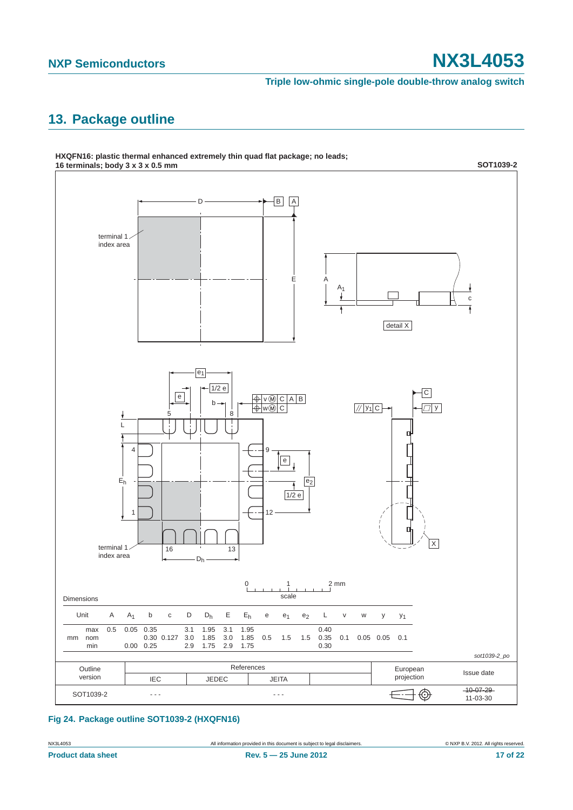**Triple low-ohmic single-pole double-throw analog switch**

# <span id="page-16-0"></span>**13. Package outline**



### **Fig 24. Package outline SOT1039-2 (HXQFN16)**

NX3L4053 All information provided in this document is subject to legal disclaimers. © NXP B.V. 2012. All rights reserved.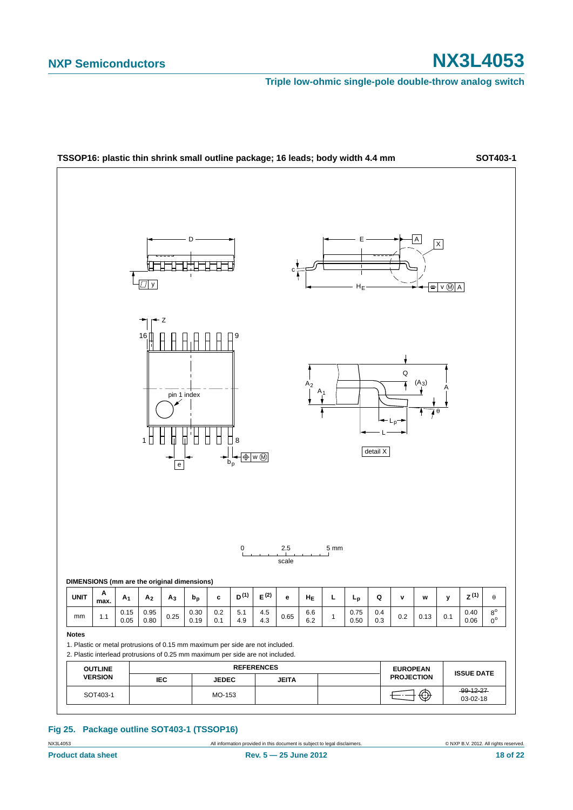**Triple low-ohmic single-pole double-throw analog switch**



### **Fig 25. Package outline SOT403-1 (TSSOP16)**

NX3L4053 **All information provided in this document is subject to legal disclaimers.** © NXP B.V. 2012. All rights reserved.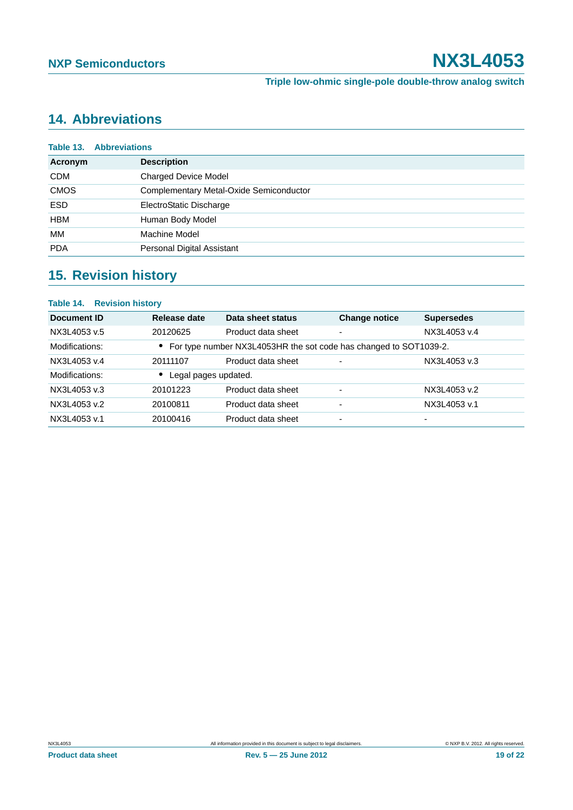# <span id="page-18-0"></span>**14. Abbreviations**

|             | <b>Table 13. Abbreviations</b>          |  |  |
|-------------|-----------------------------------------|--|--|
| Acronym     | <b>Description</b>                      |  |  |
| <b>CDM</b>  | <b>Charged Device Model</b>             |  |  |
| <b>CMOS</b> | Complementary Metal-Oxide Semiconductor |  |  |
| <b>ESD</b>  | ElectroStatic Discharge                 |  |  |
| <b>HBM</b>  | Human Body Model                        |  |  |
| МM          | Machine Model                           |  |  |
| <b>PDA</b>  | Personal Digital Assistant              |  |  |
|             |                                         |  |  |

# <span id="page-18-1"></span>**15. Revision history**

| <b>Table 14. Revision history</b> |                      |                                                                     |                          |                   |  |
|-----------------------------------|----------------------|---------------------------------------------------------------------|--------------------------|-------------------|--|
| Document ID                       | Release date         | Data sheet status                                                   | <b>Change notice</b>     | <b>Supersedes</b> |  |
| NX3L4053 v.5                      | 20120625             | Product data sheet                                                  | -                        | NX3L4053 v.4      |  |
| Modifications:                    |                      | • For type number NX3L4053HR the sot code has changed to SOT1039-2. |                          |                   |  |
| NX3L4053 v.4                      | 20111107             | Product data sheet                                                  | $\overline{\phantom{0}}$ | NX3L4053 v.3      |  |
| Modifications:                    | Legal pages updated. |                                                                     |                          |                   |  |
| NX3L4053 v.3                      | 20101223             | Product data sheet                                                  | $\overline{\phantom{0}}$ | NX3L4053 v.2      |  |
| NX3L4053 v.2                      | 20100811             | Product data sheet                                                  |                          | NX3L4053 v.1      |  |
| NX3L4053 v.1                      | 20100416             | Product data sheet                                                  | $\overline{\phantom{0}}$ | -                 |  |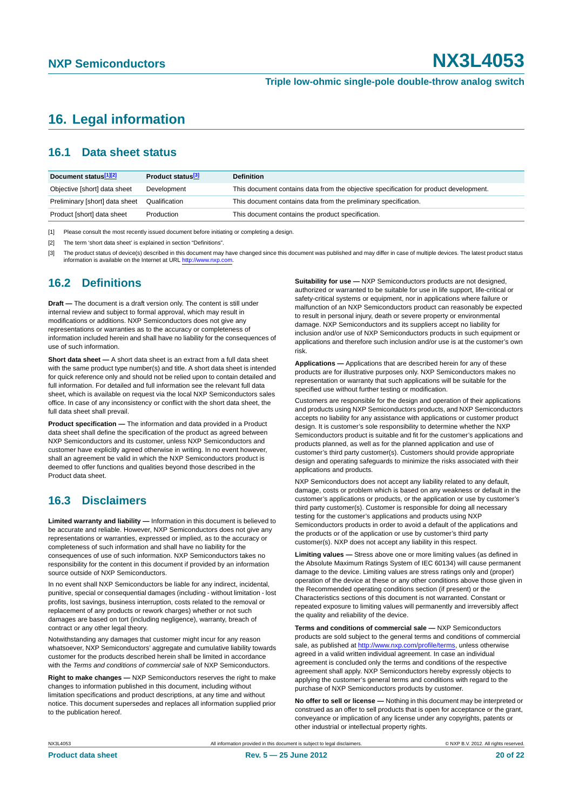# <span id="page-19-0"></span>**16. Legal information**

### <span id="page-19-1"></span>**16.1 Data sheet status**

| Document status[1][2]          | Product status <sup>[3]</sup> | <b>Definition</b>                                                                     |
|--------------------------------|-------------------------------|---------------------------------------------------------------------------------------|
| Objective [short] data sheet   | Development                   | This document contains data from the objective specification for product development. |
| Preliminary [short] data sheet | Qualification                 | This document contains data from the preliminary specification.                       |
| Product [short] data sheet     | Production                    | This document contains the product specification.                                     |

[1] Please consult the most recently issued document before initiating or completing a design.

[2] The term 'short data sheet' is explained in section "Definitions".

[3] The product status of device(s) described in this document may have changed since this document was published and may differ in case of multiple devices. The latest product status<br>information is available on the Intern

### <span id="page-19-2"></span>**16.2 Definitions**

**Draft —** The document is a draft version only. The content is still under internal review and subject to formal approval, which may result in modifications or additions. NXP Semiconductors does not give any representations or warranties as to the accuracy or completeness of information included herein and shall have no liability for the consequences of use of such information.

**Short data sheet —** A short data sheet is an extract from a full data sheet with the same product type number(s) and title. A short data sheet is intended for quick reference only and should not be relied upon to contain detailed and full information. For detailed and full information see the relevant full data sheet, which is available on request via the local NXP Semiconductors sales office. In case of any inconsistency or conflict with the short data sheet, the full data sheet shall prevail.

**Product specification —** The information and data provided in a Product data sheet shall define the specification of the product as agreed between NXP Semiconductors and its customer, unless NXP Semiconductors and customer have explicitly agreed otherwise in writing. In no event however, shall an agreement be valid in which the NXP Semiconductors product is deemed to offer functions and qualities beyond those described in the Product data sheet.

### <span id="page-19-3"></span>**16.3 Disclaimers**

**Limited warranty and liability —** Information in this document is believed to be accurate and reliable. However, NXP Semiconductors does not give any representations or warranties, expressed or implied, as to the accuracy or completeness of such information and shall have no liability for the consequences of use of such information. NXP Semiconductors takes no responsibility for the content in this document if provided by an information source outside of NXP Semiconductors.

In no event shall NXP Semiconductors be liable for any indirect, incidental, punitive, special or consequential damages (including - without limitation - lost profits, lost savings, business interruption, costs related to the removal or replacement of any products or rework charges) whether or not such damages are based on tort (including negligence), warranty, breach of contract or any other legal theory.

Notwithstanding any damages that customer might incur for any reason whatsoever, NXP Semiconductors' aggregate and cumulative liability towards customer for the products described herein shall be limited in accordance with the *Terms and conditions of commercial sale* of NXP Semiconductors.

**Right to make changes —** NXP Semiconductors reserves the right to make changes to information published in this document, including without limitation specifications and product descriptions, at any time and without notice. This document supersedes and replaces all information supplied prior to the publication hereof.

**Suitability for use —** NXP Semiconductors products are not designed, authorized or warranted to be suitable for use in life support, life-critical or safety-critical systems or equipment, nor in applications where failure or malfunction of an NXP Semiconductors product can reasonably be expected to result in personal injury, death or severe property or environmental damage. NXP Semiconductors and its suppliers accept no liability for inclusion and/or use of NXP Semiconductors products in such equipment or applications and therefore such inclusion and/or use is at the customer's own risk.

**Applications —** Applications that are described herein for any of these products are for illustrative purposes only. NXP Semiconductors makes no representation or warranty that such applications will be suitable for the specified use without further testing or modification.

Customers are responsible for the design and operation of their applications and products using NXP Semiconductors products, and NXP Semiconductors accepts no liability for any assistance with applications or customer product design. It is customer's sole responsibility to determine whether the NXP Semiconductors product is suitable and fit for the customer's applications and products planned, as well as for the planned application and use of customer's third party customer(s). Customers should provide appropriate design and operating safeguards to minimize the risks associated with their applications and products.

NXP Semiconductors does not accept any liability related to any default. damage, costs or problem which is based on any weakness or default in the customer's applications or products, or the application or use by customer's third party customer(s). Customer is responsible for doing all necessary testing for the customer's applications and products using NXP Semiconductors products in order to avoid a default of the applications and the products or of the application or use by customer's third party customer(s). NXP does not accept any liability in this respect.

**Limiting values —** Stress above one or more limiting values (as defined in the Absolute Maximum Ratings System of IEC 60134) will cause permanent damage to the device. Limiting values are stress ratings only and (proper) operation of the device at these or any other conditions above those given in the Recommended operating conditions section (if present) or the Characteristics sections of this document is not warranted. Constant or repeated exposure to limiting values will permanently and irreversibly affect the quality and reliability of the device.

**Terms and conditions of commercial sale —** NXP Semiconductors products are sold subject to the general terms and conditions of commercial sale, as published at<http://www.nxp.com/profile/terms>, unless otherwise agreed in a valid written individual agreement. In case an individual agreement is concluded only the terms and conditions of the respective agreement shall apply. NXP Semiconductors hereby expressly objects to applying the customer's general terms and conditions with regard to the purchase of NXP Semiconductors products by customer.

**No offer to sell or license —** Nothing in this document may be interpreted or construed as an offer to sell products that is open for acceptance or the grant, conveyance or implication of any license under any copyrights, patents or other industrial or intellectual property rights.

NX3L4053 All information provided in this document is subject to legal disclaimers. © NXP B.V. 2012. All rights reserved.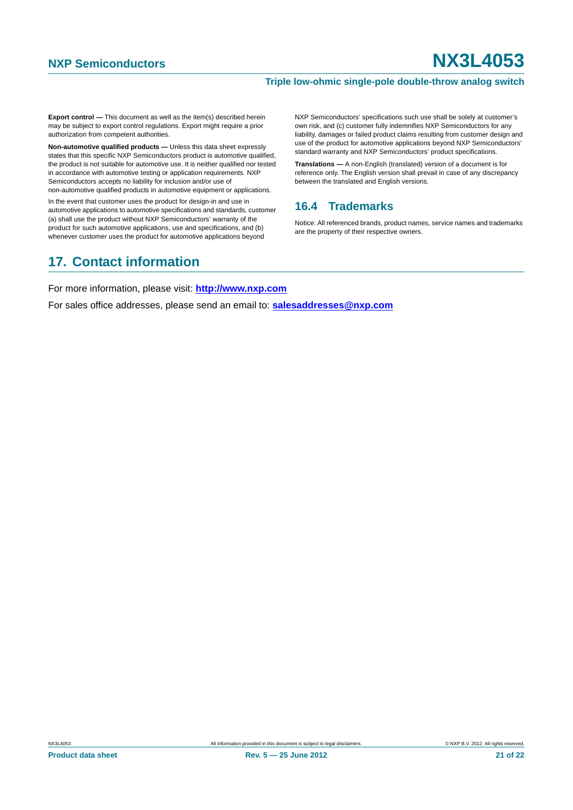#### **Triple low-ohmic single-pole double-throw analog switch**

**Export control —** This document as well as the item(s) described herein may be subject to export control regulations. Export might require a prior authorization from competent authorities.

**Non-automotive qualified products —** Unless this data sheet expressly states that this specific NXP Semiconductors product is automotive qualified, the product is not suitable for automotive use. It is neither qualified nor tested in accordance with automotive testing or application requirements. NXP Semiconductors accepts no liability for inclusion and/or use of non-automotive qualified products in automotive equipment or applications.

In the event that customer uses the product for design-in and use in automotive applications to automotive specifications and standards, customer (a) shall use the product without NXP Semiconductors' warranty of the product for such automotive applications, use and specifications, and (b) whenever customer uses the product for automotive applications beyond

# <span id="page-20-1"></span>**17. Contact information**

NXP Semiconductors' specifications such use shall be solely at customer's own risk, and (c) customer fully indemnifies NXP Semiconductors for any liability, damages or failed product claims resulting from customer design and use of the product for automotive applications beyond NXP Semiconductors' standard warranty and NXP Semiconductors' product specifications.

**Translations —** A non-English (translated) version of a document is for reference only. The English version shall prevail in case of any discrepancy between the translated and English versions.

### <span id="page-20-0"></span>**16.4 Trademarks**

Notice: All referenced brands, product names, service names and trademarks are the property of their respective owners.

For more information, please visit: **http://www.nxp.com**

For sales office addresses, please send an email to: **salesaddresses@nxp.com**